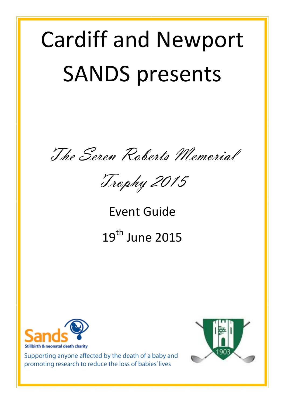# Cardiff and Newport SANDS presents

The Seren Roberts Memorial

Trophy 2015

Event Guide  $19<sup>th</sup>$  June 2015



Supporting anyone affected by the death of a baby and promoting research to reduce the loss of babies' lives

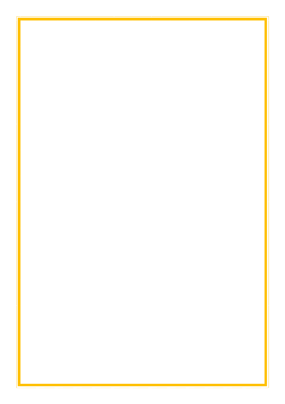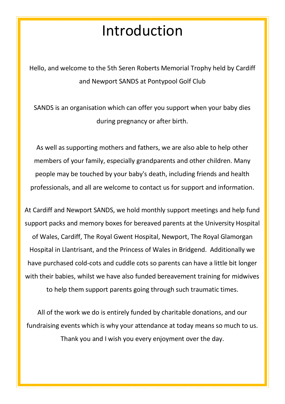#### Introduction

Hello, and welcome to the 5th Seren Roberts Memorial Trophy held by Cardiff and Newport SANDS at Pontypool Golf Club

SANDS is an organisation which can offer you support when your baby dies during pregnancy or after birth.

As well as supporting mothers and fathers, we are also able to help other members of your family, especially grandparents and other children. Many people may be touched by your baby's death, including friends and health professionals, and all are welcome to [contact us](http://www.uk-sands.org/Contact-Us.html) for support and information.

At Cardiff and Newport SANDS, we hold monthly support meetings and help fund support packs and memory boxes for bereaved parents at the University Hospital of Wales, Cardiff, The Royal Gwent Hospital, Newport, The Royal Glamorgan Hospital in Llantrisant, and the Princess of Wales in Bridgend. Additionally we have purchased cold-cots and cuddle cots so parents can have a little bit longer with their babies, whilst we have also funded bereavement training for midwives to help them support parents going through such traumatic times.

All of the work we do is entirely funded by charitable donations, and our fundraising events which is why your attendance at today means so much to us. Thank you and I wish you every enjoyment over the day.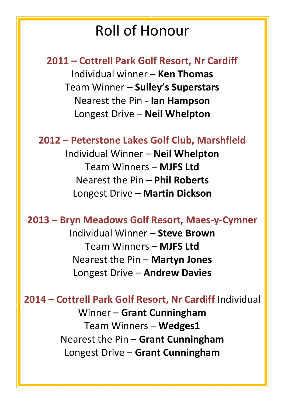#### Roll of Honour

**2011 – Cottrell Park Golf Resort, Nr Cardiff** Individual winner – **Ken Thomas** Team Winner – **Sulley's Superstars** Nearest the Pin - **Ian Hampson** Longest Drive – **Neil Whelpton**

#### **2012 – Peterstone Lakes Golf Club, Marshfield**

Individual Winner – **Neil Whelpton** Team Winners – **MJFS Ltd** Nearest the Pin – **Phil Roberts** Longest Drive – **Martin Dickson**

#### **2013 – Bryn Meadows Golf Resort, Maes-y-Cymner**

Individual Winner – **Steve Brown** Team Winners – **MJFS Ltd** Nearest the Pin – **Martyn Jones** Longest Drive – **Andrew Davies**

**2014 – Cottrell Park Golf Resort, Nr Cardiff** Individual Winner – **Grant Cunningham** Team Winners – **Wedges1** Nearest the Pin – **Grant Cunningham** Longest Drive – **Grant Cunningham**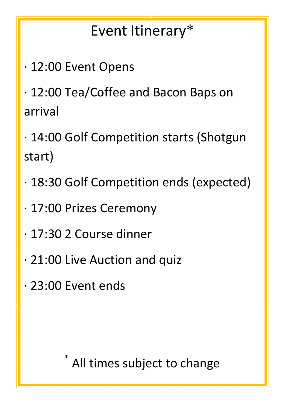### Event Itinerary\*

- · 12:00 Event Opens
- · 12:00 Tea/Coffee and Bacon Baps on arrival

· 14:00 Golf Competition starts (Shotgun start)

- · 18:30 Golf Competition ends (expected)
- · 17:00 Prizes Ceremony
- · 17:30 2 Course dinner
- · 21:00 Live Auction and quiz
- · 23:00 Event ends

\* All times subject to change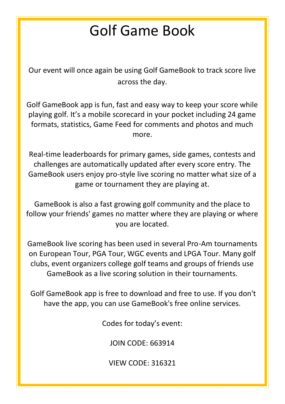#### Golf Game Book

Our event will once again be using Golf GameBook to track score live across the day.

Golf GameBook app is fun, fast and easy way to keep your score while playing golf. It's a mobile scorecard in your pocket including 24 game formats, statistics, Game Feed for comments and photos and much more.

Real-time leaderboards for primary games, side games, contests and challenges are automatically updated after every score entry. The GameBook users enjoy pro-style live scoring no matter what size of a game or tournament they are playing at.

GameBook is also a fast growing golf community and the place to follow your friends' games no matter where they are playing or where you are located.

GameBook live scoring has been used in several Pro-Am tournaments on European Tour, PGA Tour, WGC events and LPGA Tour. Many golf clubs, event organizers college golf teams and groups of friends use GameBook as a live scoring solution in their tournaments.

Golf GameBook app is free to download and free to use. If you don't have the app, you can use GameBook's free online services.

Codes for today's event:

JOIN CODE: 663914

VIEW CODE: 316321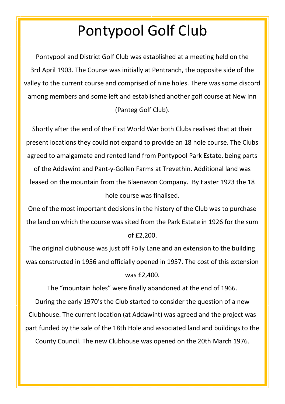#### Pontypool Golf Club

Pontypool and District Golf Club was established at a meeting held on the 3rd April 1903. The Course was initially at Pentranch, the opposite side of the valley to the current course and comprised of nine holes. There was some discord among members and some left and established another golf course at New Inn (Panteg Golf Club).

Shortly after the end of the First World War both Clubs realised that at their present locations they could not expand to provide an 18 hole course. The Clubs agreed to amalgamate and rented land from Pontypool Park Estate, being parts of the Addawint and Pant-y-Gollen Farms at Trevethin. Additional land was leased on the mountain from the Blaenavon Company. By Easter 1923 the 18 hole course was finalised.

One of the most important decisions in the history of the Club was to purchase the land on which the course was sited from the Park Estate in 1926 for the sum of £2,200.

The original clubhouse was just off Folly Lane and an extension to the building was constructed in 1956 and officially opened in 1957. The cost of this extension was £2,400.

The "mountain holes" were finally abandoned at the end of 1966. During the early 1970's the Club started to consider the question of a new Clubhouse. The current location (at Addawint) was agreed and the project was part funded by the sale of the 18th Hole and associated land and buildings to the County Council. The new Clubhouse was opened on the 20th March 1976.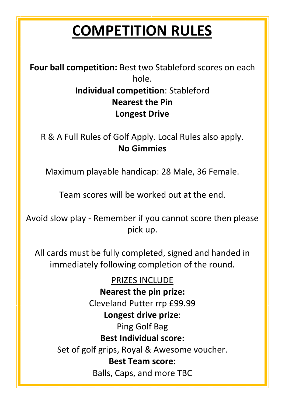#### **COMPETITION RULES**

**Four ball competition:** Best two Stableford scores on each hole. **Individual competition**: Stableford **Nearest the Pin Longest Drive**

R & A Full Rules of Golf Apply. Local Rules also apply. **No Gimmies**

Maximum playable handicap: 28 Male, 36 Female.

Team scores will be worked out at the end.

Avoid slow play - Remember if you cannot score then please pick up.

All cards must be fully completed, signed and handed in immediately following completion of the round.

> PRIZES INCLUDE **Nearest the pin prize:** Cleveland Putter rrp £99.99 **Longest drive prize**: Ping Golf Bag **Best Individual score:** Set of golf grips, Royal & Awesome voucher. **Best Team score:** Balls, Caps, and more TBC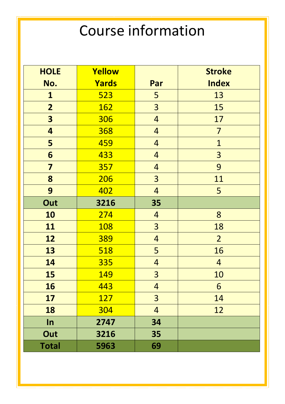## Course information

| <b>HOLE</b>             | Yellow     |                         | <b>Stroke</b>  |
|-------------------------|------------|-------------------------|----------------|
| No.                     | Yards      | Par                     | <b>Index</b>   |
| $\mathbf{1}$            | 523        | 5                       | 13             |
| $\overline{2}$          | <b>162</b> | 3                       | 15             |
| $\overline{\mathbf{3}}$ | 306        | $\overline{4}$          | 17             |
| $\overline{\mathbf{4}}$ | 368        | $\overline{4}$          | $\overline{7}$ |
| 5                       | 459        | $\overline{4}$          | $\mathbf{1}$   |
| $6\phantom{1}6$         | 433        | $\overline{\mathbf{r}}$ | 3              |
| $\overline{\mathbf{z}}$ | 357        | 4                       | 9              |
| 8                       | <b>206</b> | 3                       | 11             |
| 9                       | 402        | $\overline{4}$          | 5              |
| Out                     | 3216       | 35                      |                |
| 10                      | 274        | $\overline{4}$          | 8              |
| 11                      | <b>108</b> | 3                       | 18             |
| 12                      | <b>389</b> | $\overline{a}$          | $\overline{2}$ |
| 13                      | 518        | 5                       | 16             |
| 14                      | 335        | $\overline{\mathbf{a}}$ | $\overline{4}$ |
| 15                      | 149        | 3                       | 10             |
| 16                      | 443        | $\overline{a}$          | $6\phantom{1}$ |
| 17                      | 127        | 3                       | 14             |
| 18                      | 304        | $\overline{4}$          | 12             |
| $\ln$                   | 2747       | 34                      |                |
| Out                     | 3216       | 35                      |                |
| <b>Total</b>            | 5963       | 69                      |                |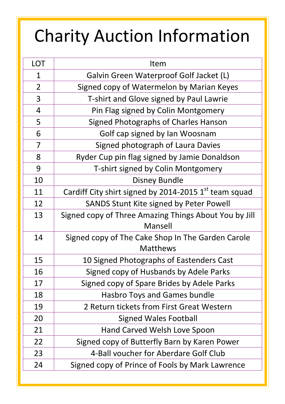## Charity Auction Information

| LOT            | Item                                                              |  |  |
|----------------|-------------------------------------------------------------------|--|--|
| $\mathbf{1}$   | Galvin Green Waterproof Golf Jacket (L)                           |  |  |
| $\overline{2}$ | Signed copy of Watermelon by Marian Keyes                         |  |  |
| 3              | T-shirt and Glove signed by Paul Lawrie                           |  |  |
| $\overline{4}$ | Pin Flag signed by Colin Montgomery                               |  |  |
| 5              | Signed Photographs of Charles Hanson                              |  |  |
| 6              | Golf cap signed by Ian Woosnam                                    |  |  |
| $\overline{7}$ | Signed photograph of Laura Davies                                 |  |  |
| 8              | Ryder Cup pin flag signed by Jamie Donaldson                      |  |  |
| 9              | T-shirt signed by Colin Montgomery                                |  |  |
| 10             | <b>Disney Bundle</b>                                              |  |  |
| 11             | Cardiff City shirt signed by 2014-2015 1 <sup>st</sup> team squad |  |  |
| 12             | SANDS Stunt Kite signed by Peter Powell                           |  |  |
| 13             | Signed copy of Three Amazing Things About You by Jill             |  |  |
|                | Mansell                                                           |  |  |
| 14             | Signed copy of The Cake Shop In The Garden Carole                 |  |  |
|                | <b>Matthews</b>                                                   |  |  |
| 15             | 10 Signed Photographs of Eastenders Cast                          |  |  |
| 16             | Signed copy of Husbands by Adele Parks                            |  |  |
| 17             | Signed copy of Spare Brides by Adele Parks                        |  |  |
| 18             | <b>Hasbro Toys and Games bundle</b>                               |  |  |
| 19             | 2 Return tickets from First Great Western                         |  |  |
| 20             | <b>Signed Wales Football</b>                                      |  |  |
| 21             | Hand Carved Welsh Love Spoon                                      |  |  |
| 22             | Signed copy of Butterfly Barn by Karen Power                      |  |  |
| 23             | 4-Ball voucher for Aberdare Golf Club                             |  |  |
| 24             | Signed copy of Prince of Fools by Mark Lawrence                   |  |  |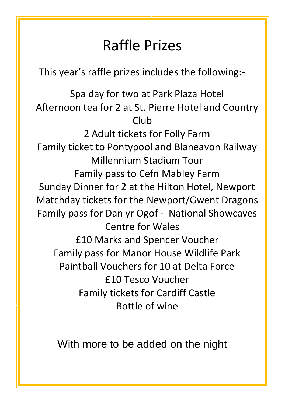#### Raffle Prizes

This year's raffle prizes includes the following:-

Spa day for two at Park Plaza Hotel Afternoon tea for 2 at St. Pierre Hotel and Country Club 2 Adult tickets for Folly Farm Family ticket to Pontypool and Blaneavon Railway Millennium Stadium Tour Family pass to Cefn Mabley Farm Sunday Dinner for 2 at the Hilton Hotel, Newport Matchday tickets for the Newport/Gwent Dragons Family pass for Dan yr Ogof - National Showcaves Centre for Wales £10 Marks and Spencer Voucher Family pass for Manor House Wildlife Park Paintball Vouchers for 10 at Delta Force £10 Tesco Voucher Family tickets for Cardiff Castle Bottle of wine

With more to be added on the night